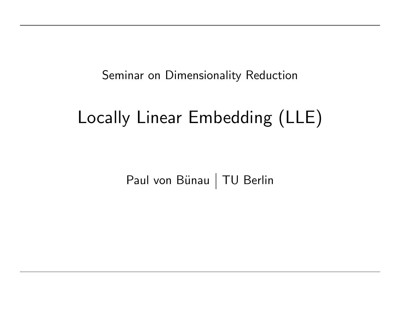Seminar on Dimensionality Reduction

# Locally Linear Embedding (LLE)

Paul von Bünau | TU Berlin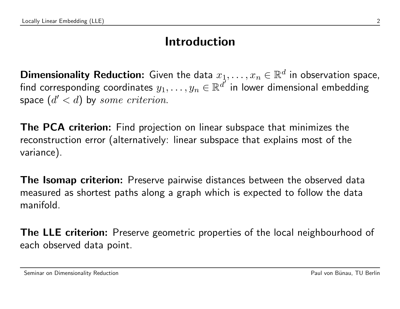#### Introduction

Dimensionality Reduction: Given the data  $x_1, \ldots, x_n \in \mathbb{R}^d$  in observation space, find corresponding coordinates  $y_1,\ldots,y_n\in\mathbb{R}^{\tilde{d}'}$  in lower dimensional embedding space  $(d' < d)$  by some criterion.

**The PCA criterion:** Find projection on linear subspace that minimizes the reconstruction error (alternatively: linear subspace that explains most of the variance).

**The Isomap criterion:** Preserve pairwise distances between the observed data measured as shortest paths along a graph which is expected to follow the data manifold.

**The LLE criterion:** Preserve geometric properties of the local neighbourhood of each observed data point.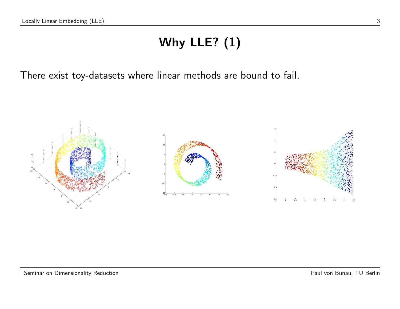# Why LLE? (1)

There exist toy-datasets where linear methods are bound to fail.

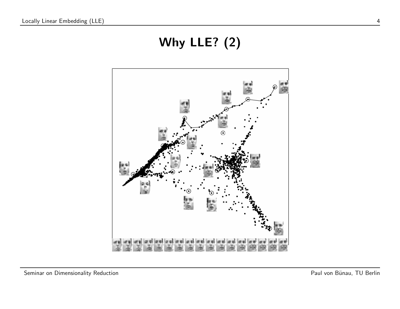# Why LLE? (2)

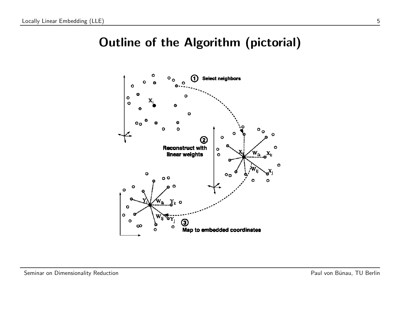### Outline of the Algorithm (pictorial)

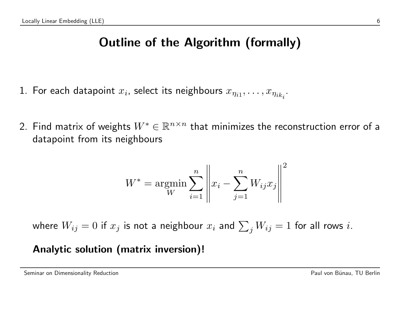## Outline of the Algorithm (formally)

- 1. For each datapoint  $x_i$ , select its neighbours  $x_{\eta_{i1}},\ldots,x_{\eta_{ik_i}}.$
- 2. Find matrix of weights  $W^*\in \mathbb{R}^{n\times n}$  that minimizes the reconstruction error of a datapoint from its neighbours

$$
W^* = \underset{W}{\text{argmin}} \sum_{i=1}^{n} \left\| x_i - \sum_{j=1}^{n} W_{ij} x_j \right\|^2
$$

where  $W_{ij}=0$  if  $x_j$  is not a neighbour  $x_i$  and  $\sum_j W_{ij}=1$  for all rows  $i.$ 

#### Analytic solution (matrix inversion)!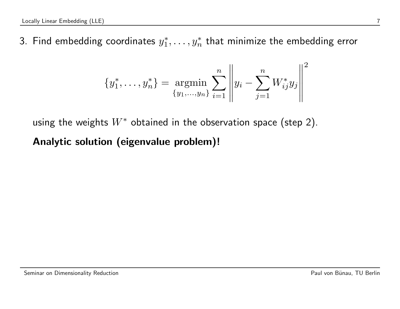3. Find embedding coordinates  $y_1^*$  $j_1^*,\ldots, y_n^*$  that minimize the embedding error

$$
\{y_1^*, \ldots, y_n^*\} = \underset{\{y_1, \ldots, y_n\}}{\text{argmin}} \sum_{i=1}^n \left\| y_i - \sum_{j=1}^n W_{ij}^* y_j \right\|^2
$$

using the weights  $W^*$  obtained in the observation space (step 2).

Analytic solution (eigenvalue problem)!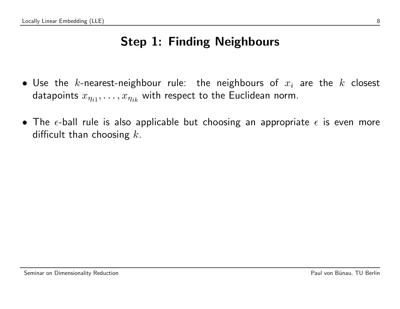## Step 1: Finding Neighbours

- Use the k-nearest-neighbour rule: the neighbours of  $x_i$  are the  $k$  closest datapoints  $x_{\eta_{i1}},\ldots,x_{\eta_{ik}}$  with respect to the Euclidean norm.
- The  $\epsilon$ -ball rule is also applicable but choosing an appropriate  $\epsilon$  is even more difficult than choosing  $k$ .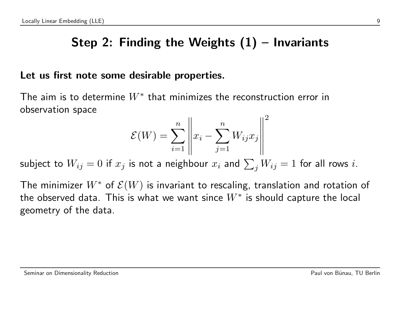## Step 2: Finding the Weights  $(1)$  – Invariants

#### Let us first note some desirable properties.

The aim is to determine  $W^*$  that minimizes the reconstruction error in observation space

$$
\mathcal{E}(W) = \sum_{i=1}^{n} \left\| x_i - \sum_{j=1}^{n} W_{ij} x_j \right\|^2
$$

subject to  $W_{ij}=0$  if  $x_j$  is not a neighbour  $x_i$  and  $\sum_j W_{ij}=1$  for all rows  $i.$ 

The minimizer  $W^*$  of  $\mathcal{E}(W)$  is invariant to rescaling, translation and rotation of the observed data. This is what we want since  $W^{\ast}$  is should capture the local geometry of the data.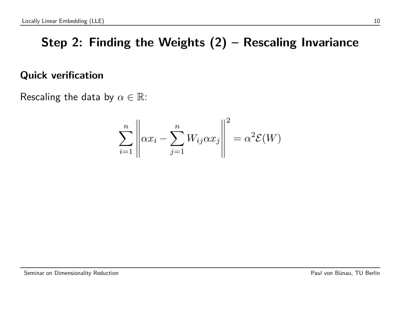## Step 2: Finding the Weights (2) – Rescaling Invariance

#### Quick verification

Rescaling the data by  $\alpha \in \mathbb{R}$ :

$$
\sum_{i=1}^{n} \left\| \alpha x_i - \sum_{j=1}^{n} W_{ij} \alpha x_j \right\|^2 = \alpha^2 \mathcal{E}(W)
$$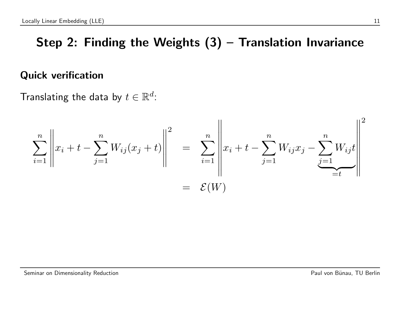## Step 2: Finding the Weights  $(3)$  – Translation Invariance

#### Quick verification

Translating the data by  $t \in \mathbb{R}^d$ :

$$
\sum_{i=1}^{n} \left\| x_i + t - \sum_{j=1}^{n} W_{ij}(x_j + t) \right\|^2 = \sum_{i=1}^{n} \left\| x_i + t - \sum_{j=1}^{n} W_{ij} x_j - \sum_{j=1}^{n} W_{ij} t \right\|^2
$$
  
=  $\mathcal{E}(W)$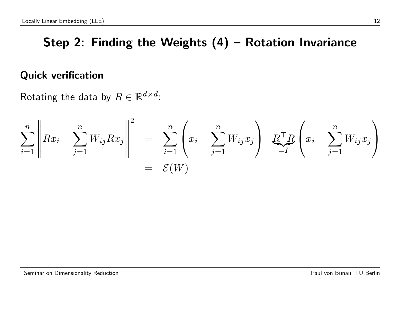### Step 2: Finding the Weights (4) – Rotation Invariance

#### Quick verification

Rotating the data by  $R \in \mathbb{R}^{d \times d}$ :

$$
\sum_{i=1}^{n} \left\| Rx_i - \sum_{j=1}^{n} W_{ij} Rx_j \right\|^2 = \sum_{i=1}^{n} \left( x_i - \sum_{j=1}^{n} W_{ij} x_j \right)^{\top} \underbrace{R^{\top} R}_{=I} \left( x_i - \sum_{j=1}^{n} W_{ij} x_j \right)
$$

$$
= \mathcal{E}(W)
$$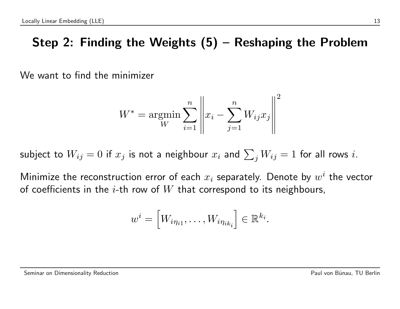## Step 2: Finding the Weights (5) – Reshaping the Problem

We want to find the minimizer

$$
W^* = \underset{W}{\text{argmin}} \sum_{i=1}^{n} \left\| x_i - \sum_{j=1}^{n} W_{ij} x_j \right\|^2
$$

subject to  $W_{ij}=0$  if  $x_j$  is not a neighbour  $x_i$  and  $\sum_j W_{ij}=1$  for all rows  $i.$ 

Minimize the reconstruction error of each  $x_i$  separately. Denote by  $w^i$  the vector of coefficients in the *i*-th row of  $W$  that correspond to its neighbours,

$$
w^i = \left[W_{i\eta_{i1}}, \ldots, W_{i\eta_{ik_i}}\right] \in \mathbb{R}^{k_i}.
$$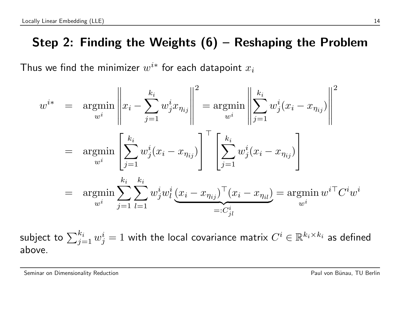### Step 2: Finding the Weights (6) – Reshaping the Problem

Thus we find the minimizer  $w^{i*}$  for each datapoint  $x_i$ 

$$
w^{i*} = \underset{w^{i}}{\operatorname{argmin}} \left\| x_{i} - \sum_{j=1}^{k_{i}} w_{j}^{i} x_{\eta_{ij}} \right\|^{2} = \underset{w^{i}}{\operatorname{argmin}} \left\| \sum_{j=1}^{k_{i}} w_{j}^{i} (x_{i} - x_{\eta_{ij}}) \right\|^{2}
$$

$$
= \underset{w^{i}}{\operatorname{argmin}} \left[ \sum_{j=1}^{k_{i}} w_{j}^{i} (x_{i} - x_{\eta_{ij}}) \right]^{T} \left[ \sum_{j=1}^{k_{i}} w_{j}^{i} (x_{i} - x_{\eta_{ij}}) \right]
$$

$$
= \underset{w^{i}}{\operatorname{argmin}} \sum_{j=1}^{k_{i}} \sum_{l=1}^{k_{i}} w_{j}^{i} w_{l}^{i} \underbrace{(x_{i} - x_{\eta_{ij}})^{T} (x_{i} - x_{\eta_{il}})}_{=:C_{jl}^{i}}
$$

$$
= C_{jl}^{i}
$$

subject to  $\sum_{j=1}^{k_i} w_j^i = 1$  with the local covariance matrix  $C^i \in \mathbb{R}^{k_i \times k_i}$  as defined above.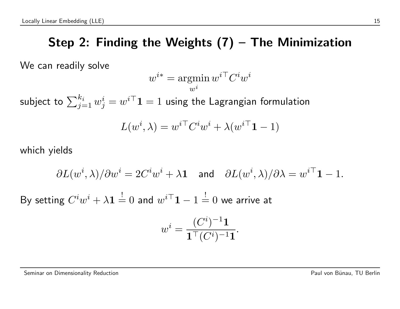## Step 2: Finding the Weights (7) – The Minimization

We can readily solve

$$
w^{i*} = \operatornamewithlimits{argmin}_{w^i} w^{i\top} C^i w^i
$$

subject to  $\sum_{j=1}^{k_i} w^i_j = w^{i\top}\mathbf{1} = 1$  using the Lagrangian formulation

$$
L(w^i, \lambda) = w^{i\top} C^i w^i + \lambda (w^{i\top} \mathbf{1} - 1)
$$

which yields

$$
\partial L(w^i,\lambda)/\partial w^i=2C^iw^i+\lambda{\bf 1}\quad\text{and}\quad \partial L(w^i,\lambda)/\partial\lambda=w^{i\top}{\bf 1}-1.
$$

By setting  $C^i w^i + \lambda \mathbf{1} \stackrel{!}{=} 0$  and  $w^{i\top} \mathbf{1} - 1 \stackrel{!}{=} 0$  we arrive at

$$
w^i = \frac{(C^i)^{-1} \mathbf{1}}{\mathbf{1}^\top (C^i)^{-1} \mathbf{1}}.
$$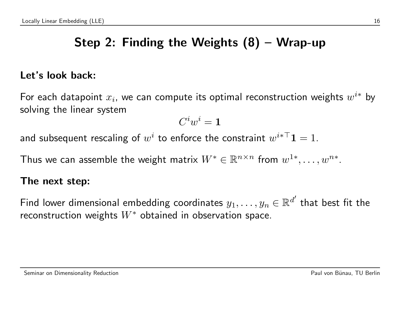## Step 2: Finding the Weights (8) – Wrap-up

#### Let's look back:

For each datapoint  $x_i$ , we can compute its optimal reconstruction weights  $w^{i*}$  by solving the linear system

$$
C^iw^i={\bf 1}
$$

and subsequent rescaling of  $w^i$  to enforce the constraint  $w^{i*\top}\mathbf{1}=1.$ 

Thus we can assemble the weight matrix  $W^*\in \mathbb{R}^{n\times n}$  from  $w^{1*},\ldots,w^{n*}.$ 

#### The next step:

Find lower dimensional embedding coordinates  $y_1,\ldots,y_n\in\mathbb{R}^{d'}$  that best fit the reconstruction weights  $W^*$  obtained in observation space.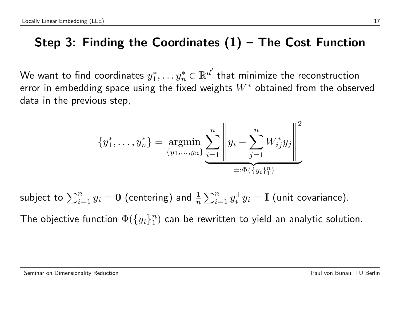### Step 3: Finding the Coordinates  $(1)$  – The Cost Function

We want to find coordinates  $y_1^*$  $\mathbf{y}_1^*,\ldots \mathbf{y}_n^* \in \mathbb{R}^{d'}$  that minimize the reconstruction error in embedding space using the fixed weights  $W^*$  obtained from the observed data in the previous step,

$$
\{y_1^*, \dots, y_n^*\} = \underset{\{y_1, \dots, y_n\}}{\text{argmin}} \sum_{i=1}^n \left\| y_i - \sum_{j=1}^n W_{ij}^* y_j \right\|^2
$$

$$
=:\Phi(\{y_i\}_1^n)
$$

subject to  $\sum_{i=1}^n y_i = \mathbf{0}$  (centering) and  $\frac{1}{n} \sum_{i=1}^n y_i^\top$  $i^{\top} y_i = \textbf{I}$  (unit covariance).

The objective function  $\Phi(\{y_i\}_1^n)$  $_1^n)$  can be rewritten to yield an analytic solution.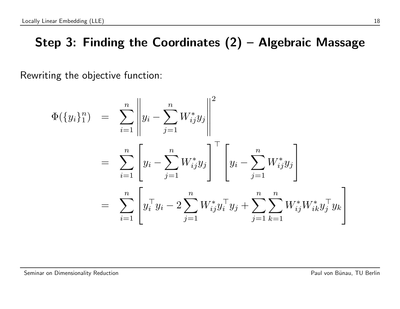### Step 3: Finding the Coordinates (2) – Algebraic Massage

Rewriting the objective function:

$$
\Phi(\{y_i\}_1^n) = \sum_{i=1}^n \left\| y_i - \sum_{j=1}^n W_{ij}^* y_j \right\|^2
$$
  
\n
$$
= \sum_{i=1}^n \left[ y_i - \sum_{j=1}^n W_{ij}^* y_j \right]^\top \left[ y_i - \sum_{j=1}^n W_{ij}^* y_j \right]
$$
  
\n
$$
= \sum_{i=1}^n \left[ y_i^\top y_i - 2 \sum_{j=1}^n W_{ij}^* y_j^\top y_j + \sum_{j=1}^n \sum_{k=1}^n W_{ij}^* W_{ik}^* y_j^\top y_k \right]
$$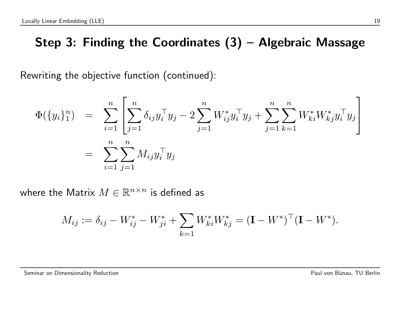### Step 3: Finding the Coordinates (3) – Algebraic Massage

Rewriting the objective function (continued):

$$
\Phi(\{y_i\}_1^n) = \sum_{i=1}^n \left[ \sum_{j=1}^n \delta_{ij} y_i^\top y_j - 2 \sum_{j=1}^n W_{ij}^* y_i^\top y_j + \sum_{j=1}^n \sum_{k=1}^n W_{ki}^* W_{kj}^* y_i^\top y_j \right]
$$
  

$$
= \sum_{i=1}^n \sum_{j=1}^n M_{ij} y_i^\top y_j
$$

where the Matrix  $M \in \mathbb{R}^{n \times n}$  is defined as

$$
M_{ij} := \delta_{ij} - W_{ij}^* - W_{ji}^* + \sum_{k=1} W_{ki}^* W_{kj}^* = (\mathbf{I} - W^*)^{\top} (\mathbf{I} - W^*).
$$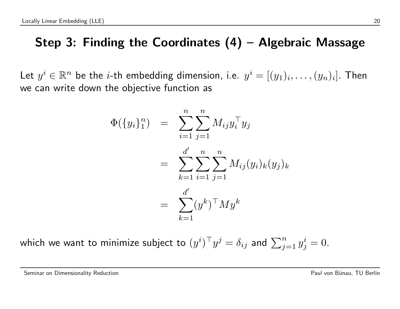### Step 3: Finding the Coordinates  $(4)$  – Algebraic Massage

Let  $y^i \in \mathbb{R}^n$  be the *i*-th embedding dimension, i.e.  $y^i = [(y_1)_i, \ldots, (y_n)_i].$  Then we can write down the objective function as

$$
\Phi(\{y_i\}_1^n) = \sum_{i=1}^n \sum_{j=1}^n M_{ij} y_i^\top y_j
$$
  
= 
$$
\sum_{k=1}^{d'} \sum_{i=1}^n \sum_{j=1}^n M_{ij} (y_i)_k (y_j)_k
$$
  
= 
$$
\sum_{k=1}^{d'} (y^k)^\top M y^k
$$

which we want to minimize subject to  $(y^i)^\top y^j = \delta_{ij}$  and  $\sum_{j=1}^n y^i_j = 0.$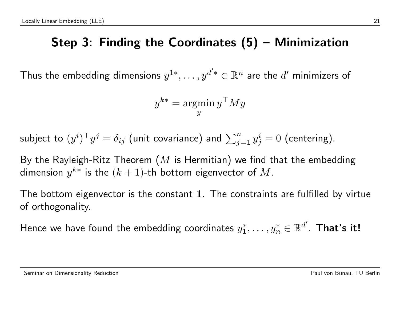### Step 3: Finding the Coordinates (5) – Minimization

Thus the embedding dimensions  $y^{1*},\ldots,y^{d'*}\in\mathbb{R}^n$  are the  $d'$  minimizers of

$$
y^{k*} = \operatornamewithlimits{argmin}_y y^\top M y
$$

subject to  $(y^i)^\top y^j = \delta_{ij}$  (unit covariance) and  $\sum_{j=1}^n y^i_j = 0$  (centering).

By the Rayleigh-Ritz Theorem  $(M$  is Hermitian) we find that the embedding dimension  $y^{k\ast}$  is the  $(k+1)$ -th bottom eigenvector of  $M.$ 

The bottom eigenvector is the constant 1. The constraints are fulfilled by virtue of orthogonality.

Hence we have found the embedding coordinates  $y_1^*$  $\mathbf{y}_1^*,\ldots,\mathbf{y}_n^*\in\mathbb{R}^{d^{\prime}}.$  That's it!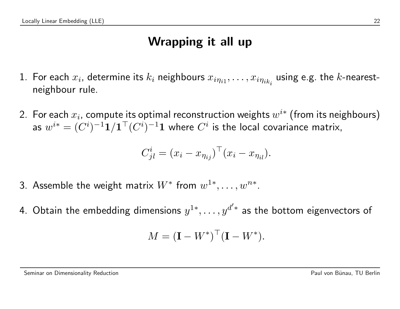### Wrapping it all up

- 1. For each  $x_i$ , determine its  $k_i$  neighbours  $x_{i\eta_{i1}},\ldots,x_{i\eta_{ik_i}}$  using e.g. the  $k$ -nearestneighbour rule.
- 2. For each  $x_i$ , compute its optimal reconstruction weights  $w^{i\ast}$  (from its neighbours) as  $w^{i*} = (C^i)^{-1}\mathbf{1}/\mathbf{1}^\top(C^i)^{-1}\mathbf{1}$  where  $C^i$  is the local covariance matrix,

$$
C_{jl}^i = (x_i - x_{\eta_{ij}})^\top (x_i - x_{\eta_{il}}).
$$

- 3. Assemble the weight matrix  $W^*$  from  $w^{1*}, \ldots, w^{n*}.$
- 4. Obtain the embedding dimensions  $y^{1*},\ldots,y^{d'*}$  as the bottom eigenvectors of

$$
M = (\mathbf{I} - W^*)^{\top} (\mathbf{I} - W^*).
$$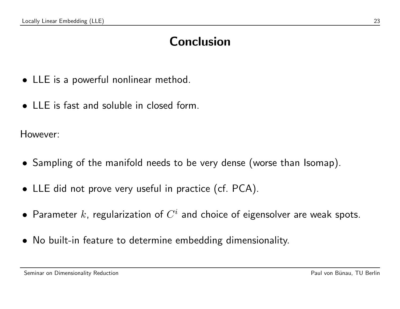### Conclusion

- LLE is a powerful nonlinear method.
- LLE is fast and soluble in closed form.

However:

- Sampling of the manifold needs to be very dense (worse than Isomap).
- LLE did not prove very useful in practice (cf. PCA).
- $\bullet$  Parameter  $k$ , regularization of  $C^i$  and choice of eigensolver are weak spots.
- No built-in feature to determine embedding dimensionality.